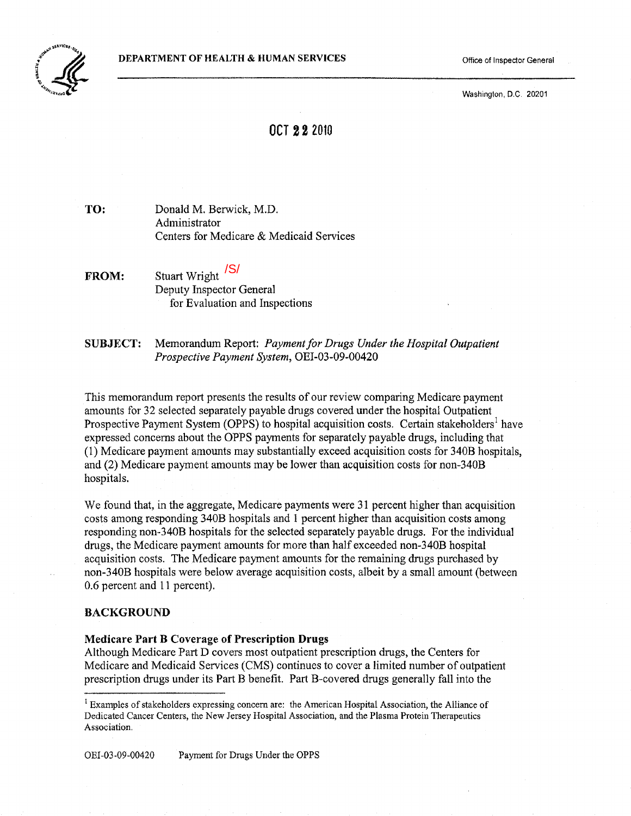

Washington, D.C. 20201

# OCT 222010

TO: Donald M. Berwick, M.D. Administrator Centers for Medicare & Medicaid Services

- FROM: Stuart Wright <sup>/S/</sup> Deputy Inspector General for Evaluation and Inspections
- SUBJECT: Memorandum Report: *Paymentfor Drugs Under the Hospital Outpatient Prospective Payment System,* OEI-03-09-00420

This memorandum report presents the results of our review comparing Medicare payment amounts for 32 selected separately payable drugs covered under the hospital Outpatient Prosp[e](#page-0-0)ctive Payment System (OPPS) to hospital acquisition costs. Certain stakeholders<sup>1</sup> have expressed concerns about the OPPS payments for separately payable drugs, including that (1) Medicare payment amounts may substantially exceed acquisition costs for 340B hospitals, and (2) Medicare payment amounts may be lower than acquisition costs for non-340B hospitals.

We found that, in the aggregate, Medicare payments were 31 percent higher than acquisition costs among responding 340B hospitals and 1 percent higher than acquisition costs among responding non-340B hospitals for the selected separately payable drugs. For the individual drugs, the Medicare payment amounts for more than half exceeded non-340B hospital acquisition costs. The Medicare payment amounts for the remaining drugs purchased by non-340B hospitals were below average acquisition costs, albeit by a small amount (between 0.6 percent and 11 percent).

#### BACKGROUND

#### Medicare Part B Coverage of Prescription Drugs

Although Medicare Part D covers most outpatient prescription drugs, the Centers for Medicare and Medicaid Services (CMS) continues to cover a limited number of outpatient prescription drugs under its Part B benefit. Part B-covered drugs generally fall into the

OEI-03-09-00420 Payment for Drugs Under the OPPS

<span id="page-0-0"></span><sup>&</sup>lt;sup>1</sup> Examples of stakeholders expressing concern are: the American Hospital Association, the Alliance of Dedicated Cancer Centers, the New Jersey Hospital Association, and the Plasma Protein Therapeutics Association.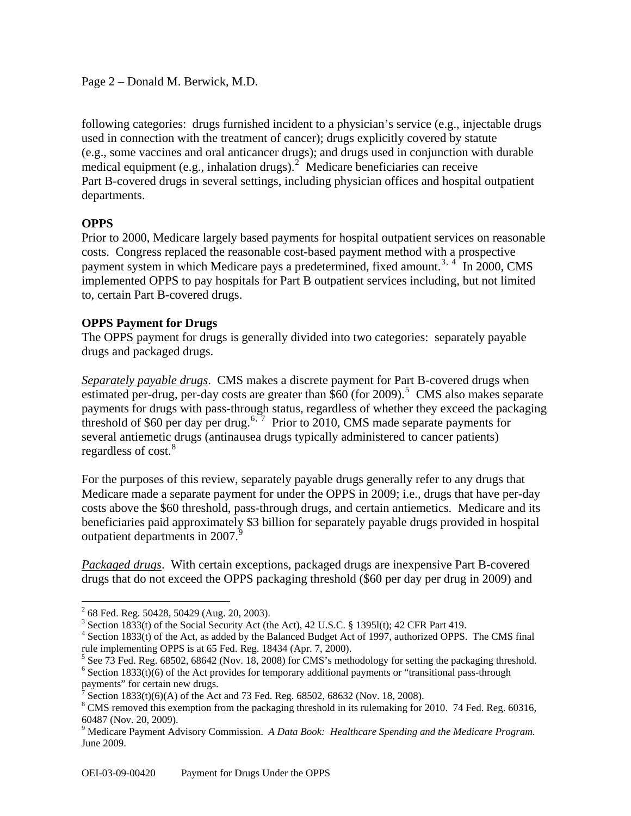# Page 2 – Donald M. Berwick, M.D.

following categories: drugs furnished incident to a physician's service (e.g., injectable drugs used in connection with the treatment of cancer); drugs explicitly covered by statute (e.g., some vaccines and oral anticancer drugs); and drugs used in conjunction with durable medical equipment (e.g., inhalation drugs). $2^{\circ}$  $2^{\circ}$  Medicare beneficiaries can receive Part B-covered drugs in several settings, including physician offices and hospital outpatient departments.

# **OPPS**

 $\overline{a}$ 

Prior to 2000, Medicare largely based payments for hospital outpatient services on reasonable costs. Congress replaced the reasonable cost-based payment method with a prospective payment system in which Medicare pays a predetermined, fixed amount.<sup>[3](#page-1-1), [4](#page-1-2)</sup> In 2000, CMS implemented OPPS to pay hospitals for Part B outpatient services including, but not limited to, certain Part B-covered drugs.

# **OPPS Payment for Drugs**

The OPPS payment for drugs is generally divided into two categories: separately payable drugs and packaged drugs.

*Separately payable drugs*. CMS makes a discrete payment for Part B-covered drugs when estimated per-drug, per-day costs are greater than  $$60$  (for 2009).<sup>[5](#page-1-3)</sup> CMS also makes separate payments for drugs with pass-through status, regardless of whether they exceed the packaging threshold of \$[6](#page-1-4)0 per day per drug.<sup>6, [7](#page-1-5)</sup> Prior to 2010, CMS made separate payments for several antiemetic drugs (antinausea drugs typically administered to cancer patients) regardless of  $cost.<sup>8</sup>$ 

For the purposes of this review, separately payable drugs generally refer to any drugs that Medicare made a separate payment for under the OPPS in 2009; i.e., drugs that have per-day costs above the \$60 threshold, pass-through drugs, and certain antiemetics. Medicare and its beneficiaries paid approximately \$3 billion for separately payable drugs provided in hospital outpatient departments in 2007.<sup>[9](#page-1-6)</sup>

*Packaged drugs*. With certain exceptions, packaged drugs are inexpensive Part B-covered drugs that do not exceed the OPPS packaging threshold (\$60 per day per drug in 2009) and

<span id="page-1-4"></span> $6$  Section 1833(t)(6) of the Act provides for temporary additional payments or "transitional pass-through payments" for certain new drugs.

<span id="page-1-0"></span> $2^{2}$  68 Fed. Reg. 50428, 50429 (Aug. 20, 2003).

<sup>&</sup>lt;sup>3</sup> Section 1833(t) of the Social Security Act (the Act), 42 U.S.C. § 13951(t); 42 CFR Part 419.

<span id="page-1-2"></span><span id="page-1-1"></span><sup>&</sup>lt;sup>4</sup> Section 1833(t) of the Act, as added by the Balanced Budget Act of 1997, authorized OPPS. The CMS final rule implementing OPPS is at 65 Fed. Reg. 18434 (Apr. 7, 2000).

<span id="page-1-3"></span><sup>&</sup>lt;sup>5</sup> See 73 Fed. Reg. 68502, 68642 (Nov. 18, 2008) for CMS's methodology for setting the packaging threshold.

<sup>7</sup> Section 1833(t)(6)(A) of the Act and 73 Fed. Reg. 68502, 68632 (Nov. 18, 2008).

<span id="page-1-5"></span> $8 \text{ CMS removed this exception from the packaging threshold in its rule making for 2010. 74 Fed. Reg. 60316,$ 60487 (Nov. 20, 2009).

<span id="page-1-6"></span><sup>9</sup> Medicare Payment Advisory Commission. *A Data Book: Healthcare Spending and the Medicare Program*. June 2009.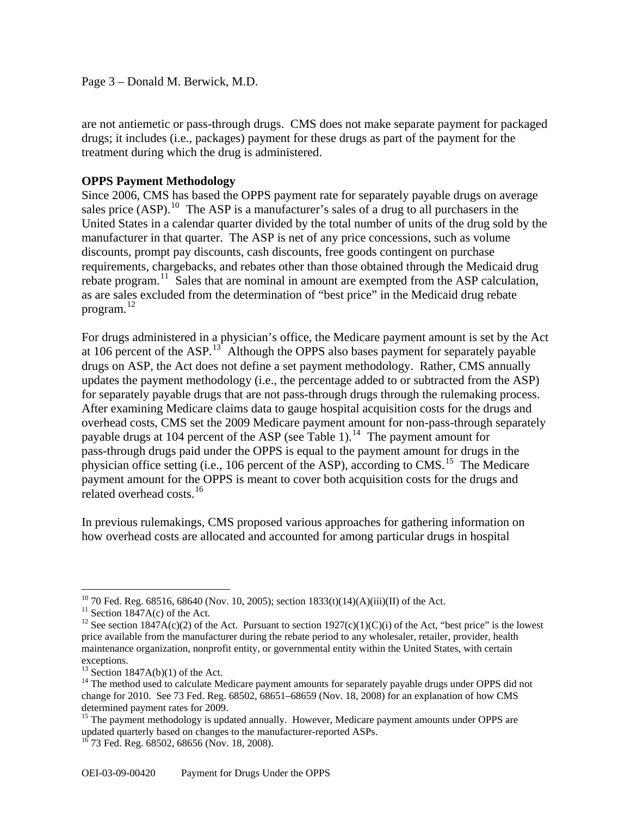Page 3 – Donald M. Berwick, M.D.

are not antiemetic or pass-through drugs. CMS does not make separate payment for packaged drugs; it includes (i.e., packages) payment for these drugs as part of the payment for the treatment during which the drug is administered.

# **OPPS Payment Methodology**

Since 2006, CMS has based the OPPS payment rate for separately payable drugs on average sales price  $(ASP)$ .<sup>[10](#page-2-0)</sup> The ASP is a manufacturer's sales of a drug to all purchasers in the United States in a calendar quarter divided by the total number of units of the drug sold by the manufacturer in that quarter. The ASP is net of any price concessions, such as volume discounts, prompt pay discounts, cash discounts, free goods contingent on purchase requirements, chargebacks, and rebates other than those obtained through the Medicaid drug rebate program.<sup>[11](#page-2-1)</sup> Sales that are nominal in amount are exempted from the ASP calculation, as are sales excluded from the determination of "best price" in the Medicaid drug rebate program. [12](#page-2-2)

For drugs administered in a physician's office, the Medicare payment amount is set by the Act at 106 percent of the ASP.<sup>[13](#page-2-3)</sup> Although the OPPS also bases payment for separately payable drugs on ASP, the Act does not define a set payment methodology. Rather, CMS annually updates the payment methodology (i.e., the percentage added to or subtracted from the ASP) for separately payable drugs that are not pass-through drugs through the rulemaking process. After examining Medicare claims data to gauge hospital acquisition costs for the drugs and overhead costs, CMS set the 2009 Medicare payment amount for non-pass-through separately payable drugs at 104 percent of the ASP (see Table 1).<sup>[14](#page-2-4)</sup> The payment amount for pass-through drugs paid under the OPPS is equal to the payment amount for drugs in the physician office setting (i.e., 106 percent of the ASP), according to CMS.<sup>[15](#page-2-5)</sup> The Medicare payment amount for the OPPS is meant to cover both acquisition costs for the drugs and related overhead costs.<sup>[16](#page-2-6)</sup>

In previous rulemakings, CMS proposed various approaches for gathering information on how overhead costs are allocated and accounted for among particular drugs in hospital

 $\overline{a}$ 

<span id="page-2-0"></span><sup>&</sup>lt;sup>10</sup> 70 Fed. Reg. 68516, 68640 (Nov. 10, 2005); section  $1833(t)(14)(A)(iii)(II)$  of the Act.

<sup>&</sup>lt;sup>11</sup> Section 1847A(c) of the Act.

<span id="page-2-2"></span><span id="page-2-1"></span><sup>&</sup>lt;sup>12</sup> See section 1847A(c)(2) of the Act. Pursuant to section 1927(c)(1)(C)(i) of the Act, "best price" is the lowest price available from the manufacturer during the rebate period to any wholesaler, retailer, provider, health maintenance organization, nonprofit entity, or governmental entity within the United States, with certain exceptions.

 $13$  Section 1847A(b)(1) of the Act.

<span id="page-2-4"></span><span id="page-2-3"></span><sup>&</sup>lt;sup>14</sup> The method used to calculate Medicare payment amounts for separately payable drugs under OPPS did not change for 2010. See 73 Fed. Reg. 68502, 68651–68659 (Nov. 18, 2008) for an explanation of how CMS determined payment rates for 2009.

<span id="page-2-6"></span><span id="page-2-5"></span><sup>&</sup>lt;sup>15</sup> The payment methodology is updated annually. However, Medicare payment amounts under OPPS are updated quarterly based on changes to the manufacturer-reported ASPs.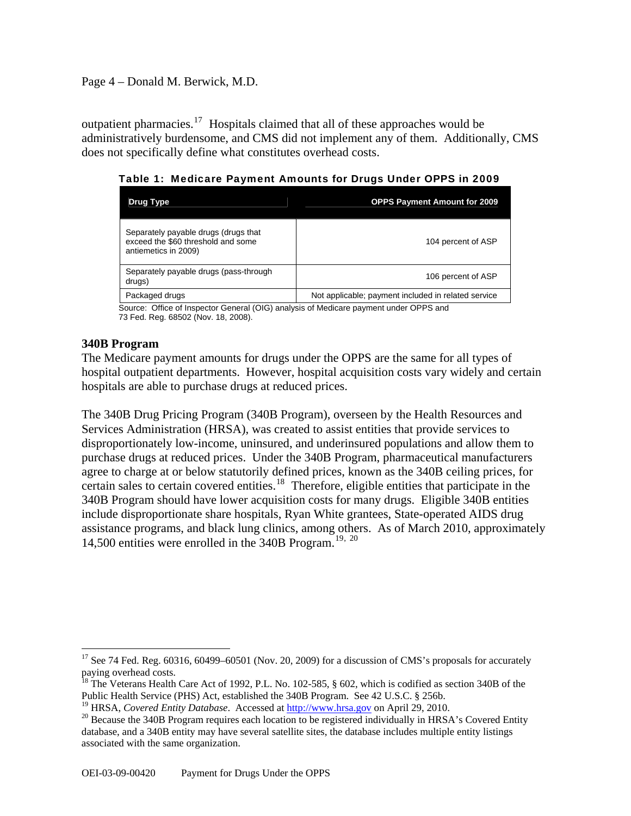## Page 4 – Donald M. Berwick, M.D.

outpatient pharmacies.<sup>[17](#page-3-0)</sup> Hospitals claimed that all of these approaches would be administratively burdensome, and CMS did not implement any of them. Additionally, CMS does not specifically define what constitutes overhead costs.

Table 1: Medicare Payment Amounts for Drugs Under OPPS in 2009

| Drug Type                                                                                          | <b>OPPS Payment Amount for 2009</b>                 |
|----------------------------------------------------------------------------------------------------|-----------------------------------------------------|
| Separately payable drugs (drugs that<br>exceed the \$60 threshold and some<br>antiemetics in 2009) | 104 percent of ASP                                  |
| Separately payable drugs (pass-through<br>drugs)                                                   | 106 percent of ASP                                  |
| Packaged drugs                                                                                     | Not applicable; payment included in related service |

Source: Office of Inspector General (OIG) analysis of Medicare payment under OPPS and 73 Fed. Reg. 68502 (Nov. 18, 2008).

## **340B Program**

The Medicare payment amounts for drugs under the OPPS are the same for all types of hospital outpatient departments. However, hospital acquisition costs vary widely and certain hospitals are able to purchase drugs at reduced prices.

The 340B Drug Pricing Program (340B Program), overseen by the Health Resources and Services Administration (HRSA), was created to assist entities that provide services to disproportionately low-income, uninsured, and underinsured populations and allow them to purchase drugs at reduced prices. Under the 340B Program, pharmaceutical manufacturers agree to charge at or below statutorily defined prices, known as the 340B ceiling prices, for certain sales to certain covered entities.<sup>[18](#page-3-1)</sup> Therefore, eligible entities that participate in the 340B Program should have lower acquisition costs for many drugs. Eligible 340B entities include disproportionate share hospitals, Ryan White grantees, State-operated AIDS drug assistance programs, and black lung clinics, among others. As of March 2010, approximately 14,500 entities were enrolled in the 340B Program.<sup>[19](#page-3-2), [20](#page-3-3)</sup>

<span id="page-3-0"></span> $\overline{a}$  $17$  See 74 Fed. Reg. 60316, 60499–60501 (Nov. 20, 2009) for a discussion of CMS's proposals for accurately paying overhead costs.

<span id="page-3-1"></span><sup>&</sup>lt;sup>18</sup> The Veterans Health Care Act of 1992, P.L. No. 102-585,  $\S$  602, which is codified as section 340B of the Public Health Service (PHS) Act, established the 340B Program. See 42 U.S.C. § 256b.

<span id="page-3-3"></span><span id="page-3-2"></span><sup>&</sup>lt;sup>19</sup> HRSA, *Covered Entity Database*. Accessed at  $\frac{http://www.hrsa.gov}{}$  on April 29, 2010.<br><sup>20</sup> Because the 340B Program requires each location to be registered individually in HRSA's Covered Entity database, and a 340B entity may have several satellite sites, the database includes multiple entity listings associated with the same organization.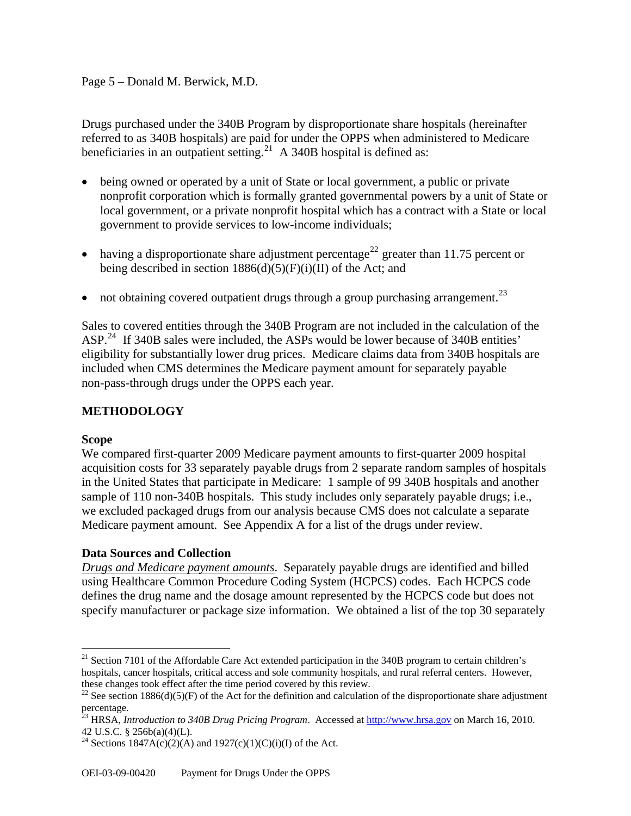# Page 5 – Donald M. Berwick, M.D.

Drugs purchased under the 340B Program by disproportionate share hospitals (hereinafter referred to as 340B hospitals) are paid for under the OPPS when administered to Medicare beneficiaries in an outpatient setting.<sup>[21](#page-4-0)</sup> A 340B hospital is defined as:

- being owned or operated by a unit of State or local government, a public or private nonprofit corporation which is formally granted governmental powers by a unit of State or local government, or a private nonprofit hospital which has a contract with a State or local government to provide services to low-income individuals;
- having a disproportionate share adjustment percentage<sup>[22](#page-4-1)</sup> greater than 11.75 percent or being described in section  $1886(d)(5)(F)(i)(II)$  of the Act; and
- not obtaining covered outpatient drugs through a group purchasing arrangement.<sup>[23](#page-4-2)</sup>

Sales to covered entities through the 340B Program are not included in the calculation of the ASP.<sup>[24](#page-4-3)</sup> If 340B sales were included, the ASPs would be lower because of 340B entities' eligibility for substantially lower drug prices. Medicare claims data from 340B hospitals are included when CMS determines the Medicare payment amount for separately payable non-pass-through drugs under the OPPS each year.

# **METHODOLOGY**

#### **Scope**

 $\overline{a}$ 

We compared first-quarter 2009 Medicare payment amounts to first-quarter 2009 hospital acquisition costs for 33 separately payable drugs from 2 separate random samples of hospitals in the United States that participate in Medicare: 1 sample of 99 340B hospitals and another sample of 110 non-340B hospitals. This study includes only separately payable drugs; i.e., we excluded packaged drugs from our analysis because CMS does not calculate a separate Medicare payment amount. See Appendix A for a list of the drugs under review.

# **Data Sources and Collection**

*Drugs and Medicare payment amounts*. Separately payable drugs are identified and billed using Healthcare Common Procedure Coding System (HCPCS) codes. Each HCPCS code defines the drug name and the dosage amount represented by the HCPCS code but does not specify manufacturer or package size information. We obtained a list of the top 30 separately

<span id="page-4-0"></span> $21$  Section 7101 of the Affordable Care Act extended participation in the 340B program to certain children's hospitals, cancer hospitals, critical access and sole community hospitals, and rural referral centers. However, these changes took effect after the time period covered by this review.<br><sup>22</sup> See section 1886(d)(5)(F) of the Act for the definition and calculation of the disproportionate share adjustment

<span id="page-4-1"></span>percentage.

<span id="page-4-2"></span><sup>23</sup> HRSA, *Introduction to 340B Drug Pricing Program*. Accessed at [http://www.hrsa.gov](http://www.hrsa.gov/) on March 16, 2010. 42 U.S.C. § 256b(a)(4)(L).

<span id="page-4-3"></span><sup>&</sup>lt;sup>24</sup> Sections 1847A(c)(2)(A) and 1927(c)(1)(C)(i)(I) of the Act.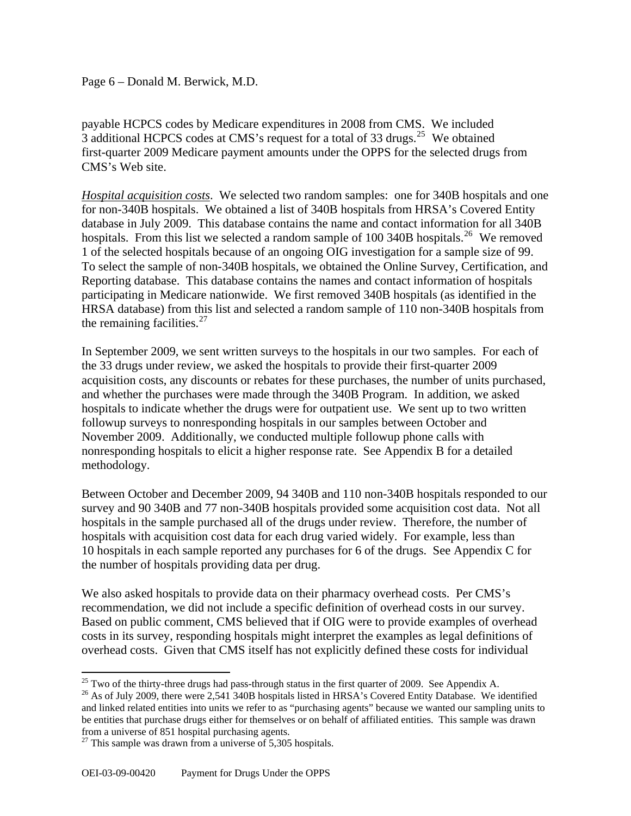#### Page 6 – Donald M. Berwick, M.D.

payable HCPCS codes by Medicare expenditures in 2008 from CMS. We included 3 additional HCPCS codes at CMS's request for a total of 33 drugs.<sup>[25](#page-5-0)</sup> We obtained first-quarter 2009 Medicare payment amounts under the OPPS for the selected drugs from CMS's Web site.

*Hospital acquisition costs*. We selected two random samples: one for 340B hospitals and one for non-340B hospitals. We obtained a list of 340B hospitals from HRSA's Covered Entity database in July 2009. This database contains the name and contact information for all 340B hospitals. From this list we selected a random sample of 100 340B hospitals.<sup>[26](#page-5-1)</sup> We removed 1 of the selected hospitals because of an ongoing OIG investigation for a sample size of 99. To select the sample of non-340B hospitals, we obtained the Online Survey, Certification, and Reporting database. This database contains the names and contact information of hospitals participating in Medicare nationwide. We first removed 340B hospitals (as identified in the HRSA database) from this list and selected a random sample of 110 non-340B hospitals from the remaining facilities. $27$ 

In September 2009, we sent written surveys to the hospitals in our two samples. For each of the 33 drugs under review, we asked the hospitals to provide their first-quarter 2009 acquisition costs, any discounts or rebates for these purchases, the number of units purchased, and whether the purchases were made through the 340B Program. In addition, we asked hospitals to indicate whether the drugs were for outpatient use. We sent up to two written followup surveys to nonresponding hospitals in our samples between October and November 2009. Additionally, we conducted multiple followup phone calls with nonresponding hospitals to elicit a higher response rate. See Appendix B for a detailed methodology.

Between October and December 2009, 94 340B and 110 non-340B hospitals responded to our survey and 90 340B and 77 non-340B hospitals provided some acquisition cost data. Not all hospitals in the sample purchased all of the drugs under review. Therefore, the number of hospitals with acquisition cost data for each drug varied widely. For example, less than 10 hospitals in each sample reported any purchases for 6 of the drugs. See Appendix C for the number of hospitals providing data per drug.

We also asked hospitals to provide data on their pharmacy overhead costs. Per CMS's recommendation, we did not include a specific definition of overhead costs in our survey. Based on public comment, CMS believed that if OIG were to provide examples of overhead costs in its survey, responding hospitals might interpret the examples as legal definitions of overhead costs. Given that CMS itself has not explicitly defined these costs for individual

 $\overline{a}$ 

<sup>&</sup>lt;sup>25</sup> Two of the thirty-three drugs had pass-through status in the first quarter of 2009. See Appendix A.

<span id="page-5-1"></span><span id="page-5-0"></span><sup>&</sup>lt;sup>26</sup> As of July 2009, there were 2,541 340B hospitals listed in HRSA's Covered Entity Database. We identified and linked related entities into units we refer to as "purchasing agents" because we wanted our sampling units to be entities that purchase drugs either for themselves or on behalf of affiliated entities. This sample was drawn from a universe of 851 hospital purchasing agents.

<span id="page-5-2"></span> $27$  This sample was drawn from a universe of 5,305 hospitals.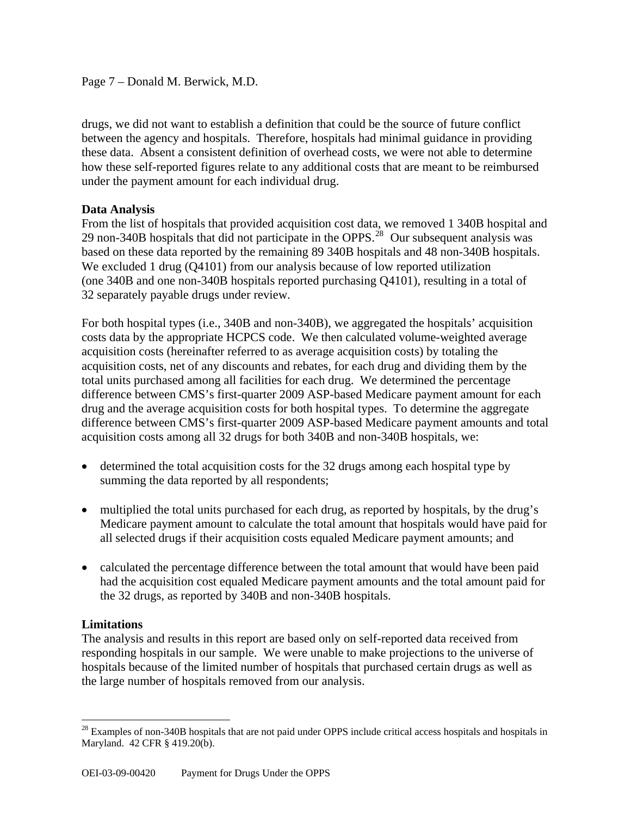Page 7 – Donald M. Berwick, M.D.

drugs, we did not want to establish a definition that could be the source of future conflict between the agency and hospitals. Therefore, hospitals had minimal guidance in providing these data. Absent a consistent definition of overhead costs, we were not able to determine how these self-reported figures relate to any additional costs that are meant to be reimbursed under the payment amount for each individual drug.

## **Data Analysis**

From the list of hospitals that provided acquisition cost data, we removed 1 340B hospital and 29 non-340B hospitals that did not participate in the OPPS.<sup>[28](#page-6-0)</sup> Our subsequent analysis was based on these data reported by the remaining 89 340B hospitals and 48 non-340B hospitals. We excluded 1 drug (Q4101) from our analysis because of low reported utilization (one 340B and one non-340B hospitals reported purchasing Q4101), resulting in a total of 32 separately payable drugs under review.

For both hospital types (i.e., 340B and non-340B), we aggregated the hospitals' acquisition costs data by the appropriate HCPCS code. We then calculated volume-weighted average acquisition costs (hereinafter referred to as average acquisition costs) by totaling the acquisition costs, net of any discounts and rebates, for each drug and dividing them by the total units purchased among all facilities for each drug. We determined the percentage difference between CMS's first-quarter 2009 ASP-based Medicare payment amount for each drug and the average acquisition costs for both hospital types. To determine the aggregate difference between CMS's first-quarter 2009 ASP-based Medicare payment amounts and total acquisition costs among all 32 drugs for both 340B and non-340B hospitals, we:

- determined the total acquisition costs for the 32 drugs among each hospital type by summing the data reported by all respondents;
- multiplied the total units purchased for each drug, as reported by hospitals, by the drug's Medicare payment amount to calculate the total amount that hospitals would have paid for all selected drugs if their acquisition costs equaled Medicare payment amounts; and
- calculated the percentage difference between the total amount that would have been paid had the acquisition cost equaled Medicare payment amounts and the total amount paid for the 32 drugs, as reported by 340B and non-340B hospitals.

# **Limitations**

 $\overline{a}$ 

The analysis and results in this report are based only on self-reported data received from responding hospitals in our sample. We were unable to make projections to the universe of hospitals because of the limited number of hospitals that purchased certain drugs as well as the large number of hospitals removed from our analysis.

<span id="page-6-0"></span> $28$  Examples of non-340B hospitals that are not paid under OPPS include critical access hospitals and hospitals in Maryland. 42 CFR § 419.20(b).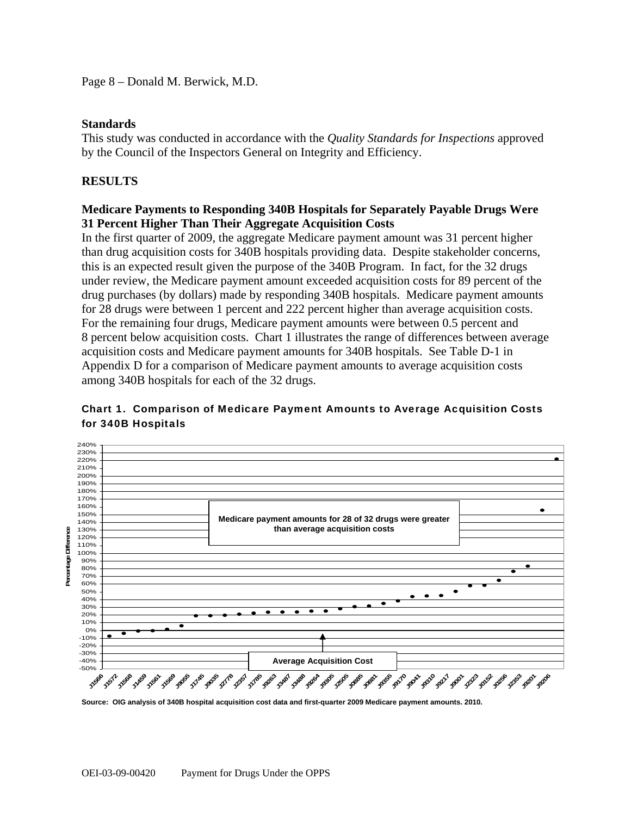Page 8 – Donald M. Berwick, M.D.

#### **Standards**

This study was conducted in accordance with the *Quality Standards for Inspections* approved by the Council of the Inspectors General on Integrity and Efficiency.

# **RESULTS**

#### **Medicare Payments to Responding 340B Hospitals for Separately Payable Drugs Were 31 Percent Higher Than Their Aggregate Acquisition Costs**

In the first quarter of 2009, the aggregate Medicare payment amount was 31 percent higher than drug acquisition costs for 340B hospitals providing data. Despite stakeholder concerns, this is an expected result given the purpose of the 340B Program. In fact, for the 32 drugs under review, the Medicare payment amount exceeded acquisition costs for 89 percent of the drug purchases (by dollars) made by responding 340B hospitals. Medicare payment amounts for 28 drugs were between 1 percent and 222 percent higher than average acquisition costs. For the remaining four drugs, Medicare payment amounts were between 0.5 percent and 8 percent below acquisition costs. Chart 1 illustrates the range of differences between average acquisition costs and Medicare payment amounts for 340B hospitals. See Table D-1 in Appendix D for a comparison of Medicare payment amounts to average acquisition costs among 340B hospitals for each of the 32 drugs.

#### 240% 230% 220% 210% 200% 190% 180% 170% 160% 150% **Medicare payment amounts for 28 of 32 drugs were greater**  140% 130% **than average acquisition costs**  Difference **Percentage Difference** 120% 110% 100% **Parcentage** 90% 80% 70% 60% 50% 40% 30% 20% 10% 0% -10% -20% -30% -40% **Average Acquisition Cost**  -50% **J1566 J15<sup>1</sup> J1588** J1685 J1688 J2788 J2708 J2708 J2708 J2708 J2863 J2861 J288 *J9264* **J2505 J0881 J9355 J9170 J9041 J9310 J9217 J9001 J2323 J0152 J0256 J2353 J9201 J9206 J**

## Chart 1. Comparison of Medicare Payment Amounts to Average Acquisition Costs for 340B Hospitals

**Source: OIG analysis of 340B hospital acquisition cost data and first-quarter 2009 Medicare payment amounts. 2010.**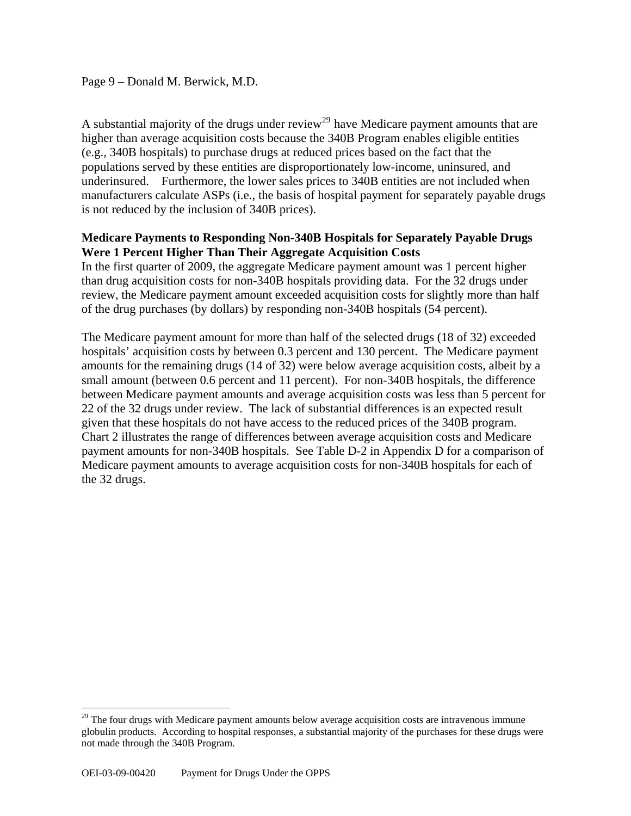## Page 9 – Donald M. Berwick, M.D.

A substantial majority of the drugs under review<sup>[29](#page-8-0)</sup> have Medicare payment amounts that are higher than average acquisition costs because the 340B Program enables eligible entities (e.g., 340B hospitals) to purchase drugs at reduced prices based on the fact that the populations served by these entities are disproportionately low-income, uninsured, and underinsured. Furthermore, the lower sales prices to 340B entities are not included when manufacturers calculate ASPs (i.e., the basis of hospital payment for separately payable drugs is not reduced by the inclusion of 340B prices).

## **Medicare Payments to Responding Non-340B Hospitals for Separately Payable Drugs Were 1 Percent Higher Than Their Aggregate Acquisition Costs**

In the first quarter of 2009, the aggregate Medicare payment amount was 1 percent higher than drug acquisition costs for non-340B hospitals providing data. For the 32 drugs under review, the Medicare payment amount exceeded acquisition costs for slightly more than half of the drug purchases (by dollars) by responding non-340B hospitals (54 percent).

The Medicare payment amount for more than half of the selected drugs (18 of 32) exceeded hospitals' acquisition costs by between 0.3 percent and 130 percent. The Medicare payment amounts for the remaining drugs (14 of 32) were below average acquisition costs, albeit by a small amount (between 0.6 percent and 11 percent). For non-340B hospitals, the difference between Medicare payment amounts and average acquisition costs was less than 5 percent for 22 of the 32 drugs under review. The lack of substantial differences is an expected result given that these hospitals do not have access to the reduced prices of the 340B program. Chart 2 illustrates the range of differences between average acquisition costs and Medicare payment amounts for non-340B hospitals. See Table D-2 in Appendix D for a comparison of Medicare payment amounts to average acquisition costs for non-340B hospitals for each of the 32 drugs.

 $\overline{a}$ 

<span id="page-8-0"></span><sup>&</sup>lt;sup>29</sup> The four drugs with Medicare payment amounts below average acquisition costs are intravenous immune globulin products. According to hospital responses, a substantial majority of the purchases for these drugs were not made through the 340B Program.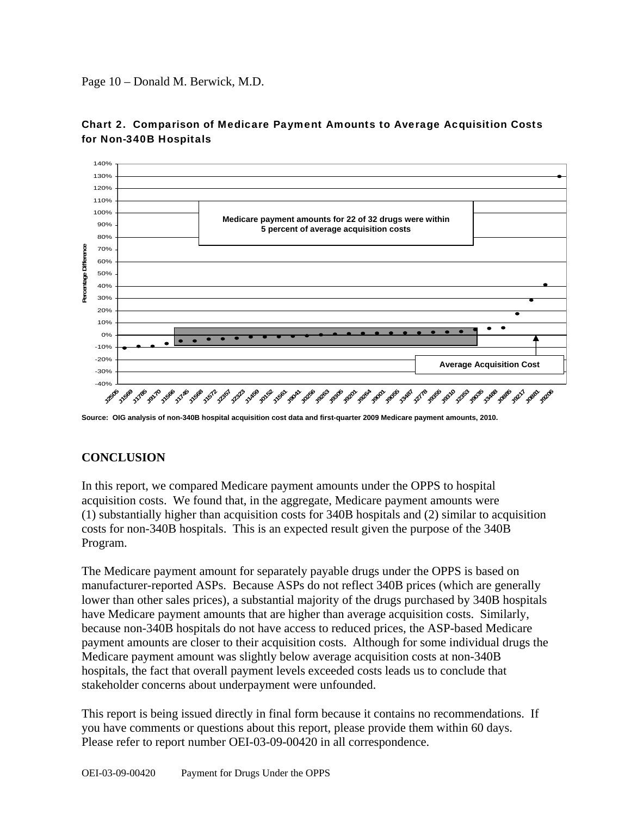Page 10 – Donald M. Berwick, M.D.



#### Chart 2. Comparison of Medicare Payment Amounts to Average Acquisition Costs for Non-340B Hospitals

**Source: OIG analysis of non-340B hospital acquisition cost data and first-quarter 2009 Medicare payment amounts, 2010.** 

# **CONCLUSION**

In this report, we compared Medicare payment amounts under the OPPS to hospital acquisition costs. We found that, in the aggregate, Medicare payment amounts were (1) substantially higher than acquisition costs for 340B hospitals and (2) similar to acquisition costs for non-340B hospitals. This is an expected result given the purpose of the 340B Program.

The Medicare payment amount for separately payable drugs under the OPPS is based on manufacturer-reported ASPs. Because ASPs do not reflect 340B prices (which are generally lower than other sales prices), a substantial majority of the drugs purchased by 340B hospitals have Medicare payment amounts that are higher than average acquisition costs. Similarly, because non-340B hospitals do not have access to reduced prices, the ASP-based Medicare payment amounts are closer to their acquisition costs. Although for some individual drugs the Medicare payment amount was slightly below average acquisition costs at non-340B hospitals, the fact that overall payment levels exceeded costs leads us to conclude that stakeholder concerns about underpayment were unfounded.

This report is being issued directly in final form because it contains no recommendations. If you have comments or questions about this report, please provide them within 60 days. Please refer to report number OEI-03-09-00420 in all correspondence.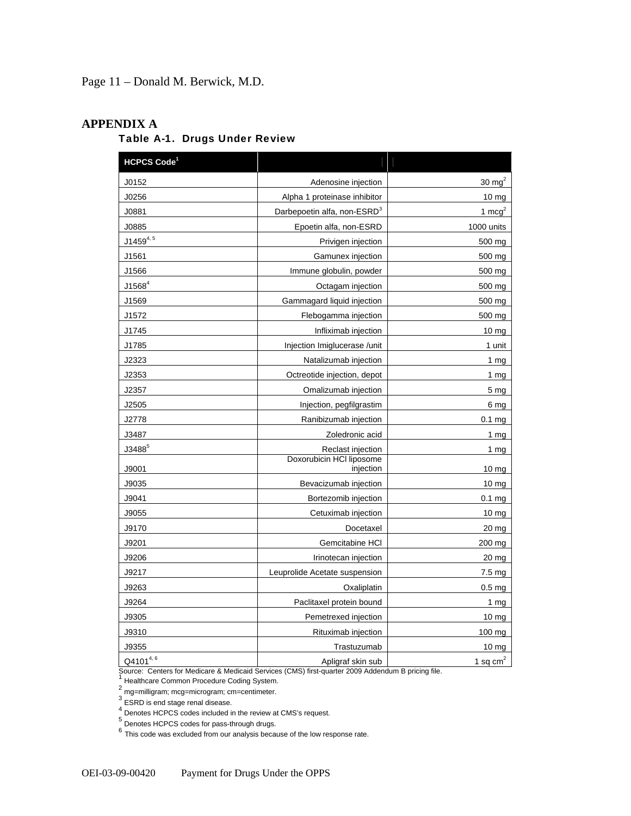Page 11 – Donald M. Berwick, M.D.

#### **APPENDIX A**

## Table A-1. Drugs Under Review

| HCPCS Code <sup>1</sup> |                                         |                   |
|-------------------------|-----------------------------------------|-------------------|
| J0152                   | Adenosine injection                     | 30 $mg2$          |
| J0256                   | Alpha 1 proteinase inhibitor            | 10 <sub>mg</sub>  |
| J0881                   | Darbepoetin alfa, non-ESRD <sup>3</sup> | 1 $mcg^2$         |
| J0885                   | Epoetin alfa, non-ESRD                  | 1000 units        |
| $J1459^{4,5}$           | Privigen injection                      | 500 mg            |
| J1561                   | Gamunex injection                       | 500 mg            |
| J1566                   | Immune globulin, powder                 | 500 mg            |
| $J1568^4$               | Octagam injection                       | 500 mg            |
| J1569                   | Gammagard liquid injection              | 500 mg            |
| J1572                   | Flebogamma injection                    | 500 mg            |
| J1745                   | Infliximab injection                    | 10 <sub>mg</sub>  |
| J1785                   | Injection Imiglucerase /unit            | 1 unit            |
| J2323                   | Natalizumab injection                   | 1 $mg$            |
| J2353                   | Octreotide injection, depot             | 1 <sub>mg</sub>   |
| J2357                   | Omalizumab injection                    | 5 <sub>mg</sub>   |
| J2505                   | Injection, pegfilgrastim                | 6 mg              |
| J2778                   | Ranibizumab injection                   | 0.1 <sub>mg</sub> |
| J3487                   | Zoledronic acid                         | 1 $mg$            |
| $J3488^5$               | Reclast injection                       | 1 $mg$            |
| J9001                   | Doxorubicin HCI liposome<br>injection   | $10 \text{ mg}$   |
| J9035                   | Bevacizumab injection                   | $10 \text{ mg}$   |
| J9041                   | Bortezomib injection                    | 0.1 <sub>mg</sub> |
| J9055                   | Cetuximab injection                     | 10 <sub>mg</sub>  |
| J9170                   | Docetaxel                               | 20 <sub>mg</sub>  |
| J9201                   | Gemcitabine HCI                         | 200 mg            |
| J9206                   | Irinotecan injection                    | 20 mg             |
| J9217                   | Leuprolide Acetate suspension           | $7.5 \text{ mg}$  |
| J9263                   | Oxaliplatin                             | 0.5 <sub>mg</sub> |
| J9264                   | Paclitaxel protein bound                | 1 <sub>mg</sub>   |
| J9305                   | Pemetrexed injection                    | 10 mg             |
| J9310                   | Rituximab injection                     | 100 mg            |
| J9355                   | Trastuzumab                             | $10 \mathrm{mg}$  |
| Q41014,6                | Apligraf skin sub                       | 1 sq $cm2$        |

Source: Centers for Medicare & Medicaid Services (CMS) first-quarter 2009 Addendum B pricing file.

<sup>1</sup> Healthcare Common Procedure Coding System.<br>  $\frac{2}{1}$  mg=milligram; mcg=microgram; cm=centimeter.<br>  $\frac{3}{1}$  ESRD is end stage renal disease.<br>  $\frac{4}{1}$  Denotes HCPCS codes included in the review at CMS's request.<br>  $\$ 

<sup>6</sup> This code was excluded from our analysis because of the low response rate.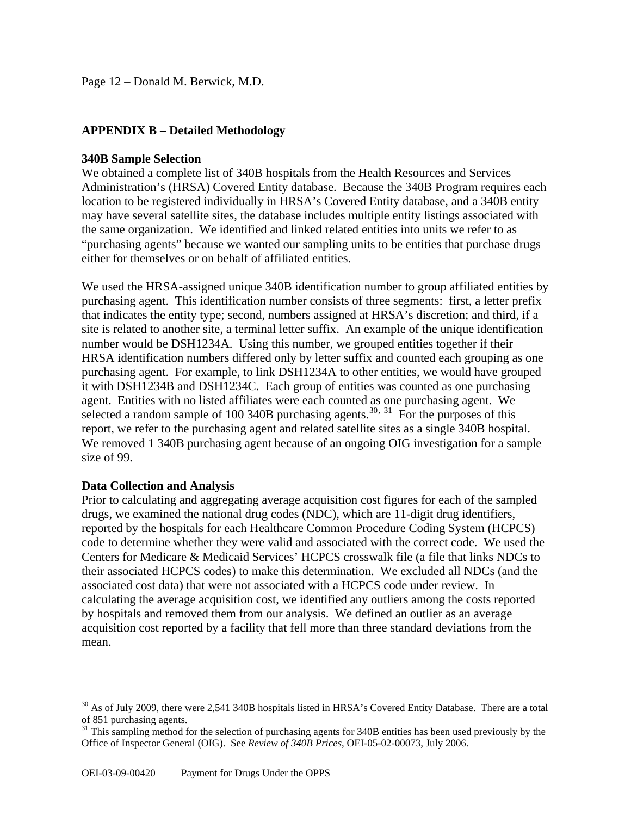## **APPENDIX B – Detailed Methodology**

#### **340B Sample Selection**

We obtained a complete list of 340B hospitals from the Health Resources and Services Administration's (HRSA) Covered Entity database. Because the 340B Program requires each location to be registered individually in HRSA's Covered Entity database, and a 340B entity may have several satellite sites, the database includes multiple entity listings associated with the same organization. We identified and linked related entities into units we refer to as "purchasing agents" because we wanted our sampling units to be entities that purchase drugs either for themselves or on behalf of affiliated entities.

We used the HRSA-assigned unique 340B identification number to group affiliated entities by purchasing agent. This identification number consists of three segments: first, a letter prefix that indicates the entity type; second, numbers assigned at HRSA's discretion; and third, if a site is related to another site, a terminal letter suffix. An example of the unique identification number would be DSH1234A. Using this number, we grouped entities together if their HRSA identification numbers differed only by letter suffix and counted each grouping as one purchasing agent. For example, to link DSH1234A to other entities, we would have grouped it with DSH1234B and DSH1234C. Each group of entities was counted as one purchasing agent. Entities with no listed affiliates were each counted as one purchasing agent. We selected a random sample of 100 340B purchasing agents.<sup>[30](#page-11-0), [31](#page-11-1)</sup> For the purposes of this report, we refer to the purchasing agent and related satellite sites as a single 340B hospital. We removed 1 340B purchasing agent because of an ongoing OIG investigation for a sample size of 99.

#### **Data Collection and Analysis**

 $\overline{a}$ 

Prior to calculating and aggregating average acquisition cost figures for each of the sampled drugs, we examined the national drug codes (NDC), which are 11-digit drug identifiers, reported by the hospitals for each Healthcare Common Procedure Coding System (HCPCS) code to determine whether they were valid and associated with the correct code. We used the Centers for Medicare & Medicaid Services' HCPCS crosswalk file (a file that links NDCs to their associated HCPCS codes) to make this determination. We excluded all NDCs (and the associated cost data) that were not associated with a HCPCS code under review. In calculating the average acquisition cost, we identified any outliers among the costs reported by hospitals and removed them from our analysis. We defined an outlier as an average acquisition cost reported by a facility that fell more than three standard deviations from the mean.

<span id="page-11-0"></span> $30$  As of July 2009, there were 2,541 340B hospitals listed in HRSA's Covered Entity Database. There are a total of 851 purchasing agents.

<span id="page-11-1"></span><sup>&</sup>lt;sup>31</sup> This sampling method for the selection of purchasing agents for 340B entities has been used previously by the Office of Inspector General (OIG). See *Review of 340B Prices*, OEI-05-02-00073, July 2006.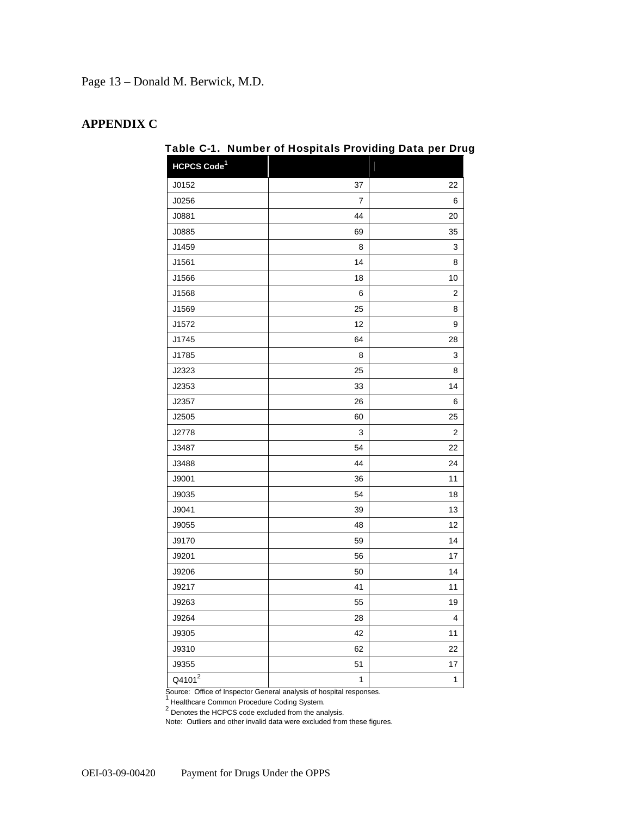Page 13 – Donald M. Berwick, M.D.

#### **APPENDIX C**

| HCPCS Code <sup>1</sup> |    |    |
|-------------------------|----|----|
| J0152                   | 37 | 22 |
| J0256                   | 7  | 6  |
| J0881                   | 44 | 20 |
| J0885                   | 69 | 35 |
| J1459                   | 8  | 3  |
| J1561                   | 14 | 8  |
| J1566                   | 18 | 10 |
| J1568                   | 6  | 2  |
| J1569                   | 25 | 8  |
| J1572                   | 12 | 9  |
| J1745                   | 64 | 28 |
| J1785                   | 8  | 3  |
| J2323                   | 25 | 8  |
| J2353                   | 33 | 14 |
| J2357                   | 26 | 6  |
| J2505                   | 60 | 25 |
| J2778                   | 3  | 2  |
| J3487                   | 54 | 22 |
| J3488                   | 44 | 24 |
| J9001                   | 36 | 11 |
| J9035                   | 54 | 18 |
| J9041                   | 39 | 13 |
| J9055                   | 48 | 12 |
| J9170                   | 59 | 14 |
| J9201                   | 56 | 17 |
| J9206                   | 50 | 14 |
| J9217                   | 41 | 11 |
| J9263                   | 55 | 19 |
| J9264                   | 28 | 4  |
| J9305                   | 42 | 11 |
| J9310                   | 62 | 22 |
| J9355                   | 51 | 17 |
| Q4101 <sup>2</sup>      | 1  | 1  |

Table C-1. Number of Hospitals Providing Data per Drug

Source: Office of Inspector General analysis of hospital responses. <br><sup>1</sup> Healthcare Common Procedure Coding System.<br><sup>2</sup> Denotes the HCPCS code excluded from the analysis.

Note: Outliers and other invalid data were excluded from these figures.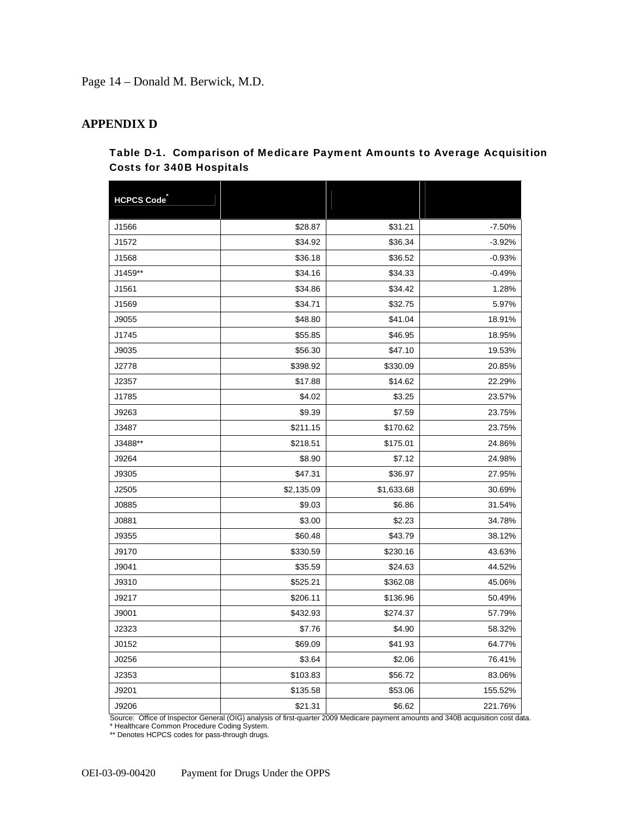Page 14 – Donald M. Berwick, M.D.

#### **APPENDIX D**

#### Table D-1. Comparison of Medicare Payment Amounts to Average Acquisition Costs for 340B Hospitals

| <b>HCPCS Code</b> |            |            |          |
|-------------------|------------|------------|----------|
|                   |            |            |          |
| J1566             | \$28.87    | \$31.21    | $-7.50%$ |
| J1572             | \$34.92    | \$36.34    | $-3.92%$ |
| J1568             | \$36.18    | \$36.52    | $-0.93%$ |
| J1459**           | \$34.16    | \$34.33    | $-0.49%$ |
| J1561             | \$34.86    | \$34.42    | 1.28%    |
| J1569             | \$34.71    | \$32.75    | 5.97%    |
| J9055             | \$48.80    | \$41.04    | 18.91%   |
| J1745             | \$55.85    | \$46.95    | 18.95%   |
| J9035             | \$56.30    | \$47.10    | 19.53%   |
| J2778             | \$398.92   | \$330.09   | 20.85%   |
| J2357             | \$17.88    | \$14.62    | 22.29%   |
| J1785             | \$4.02     | \$3.25     | 23.57%   |
| J9263             | \$9.39     | \$7.59     | 23.75%   |
| J3487             | \$211.15   | \$170.62   | 23.75%   |
| J3488**           | \$218.51   | \$175.01   | 24.86%   |
| J9264             | \$8.90     | \$7.12     | 24.98%   |
| J9305             | \$47.31    | \$36.97    | 27.95%   |
| J2505             | \$2,135.09 | \$1,633.68 | 30.69%   |
| J0885             | \$9.03     | \$6.86     | 31.54%   |
| J0881             | \$3.00     | \$2.23     | 34.78%   |
| J9355             | \$60.48    | \$43.79    | 38.12%   |
| J9170             | \$330.59   | \$230.16   | 43.63%   |
| J9041             | \$35.59    | \$24.63    | 44.52%   |
| J9310             | \$525.21   | \$362.08   | 45.06%   |
| J9217             | \$206.11   | \$136.96   | 50.49%   |
| J9001             | \$432.93   | \$274.37   | 57.79%   |
| J2323             | \$7.76     | \$4.90     | 58.32%   |
| J0152             | \$69.09    | \$41.93    | 64.77%   |
| J0256             | \$3.64     | \$2.06     | 76.41%   |
| J2353             | \$103.83   | \$56.72    | 83.06%   |
| J9201             | \$135.58   | \$53.06    | 155.52%  |
| J9206             | \$21.31    | \$6.62     | 221.76%  |

Source: Office of Inspector General (OIG) analysis of first-quarter 2009 Medicare payment amounts and 340B acquisition cost data. \* Healthcare Common Procedure Coding System.

\*\* Denotes HCPCS codes for pass-through drugs.